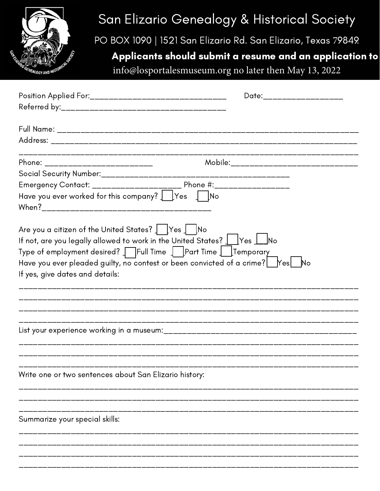

## San Elizario Genealogy & Historical Society

PO BOX 1090 | 1521 San Elizario Rd. San Elizario, Texas 79849

## Applicants should submit a resume and an application to

info@losportalesmuseum.org no later then May 13, 2022

|                                                                                                                                                                | Date:_____________________                 |
|----------------------------------------------------------------------------------------------------------------------------------------------------------------|--------------------------------------------|
|                                                                                                                                                                |                                            |
|                                                                                                                                                                |                                            |
|                                                                                                                                                                |                                            |
| Phone: __________________________                                                                                                                              | Mobile:___________________________________ |
|                                                                                                                                                                |                                            |
|                                                                                                                                                                |                                            |
| Have you ever worked for this company? $\int$ Yes $\int$ No                                                                                                    |                                            |
| Are you a citizen of the United States? $\int$ [Yes $\int$ [No<br>If not, are you legally allowed to work in the United States? $\bigsqcup$ Yes $\bigsqcup$ No |                                            |
| Type of employment desired? TFull Time TPart Time LETemporary                                                                                                  |                                            |
| Have you ever pleaded guilty, no contest or been convicted of a crime? $\mathbb{R}^2$                                                                          |                                            |
| If yes, give dates and details:                                                                                                                                |                                            |
|                                                                                                                                                                |                                            |
|                                                                                                                                                                |                                            |
|                                                                                                                                                                |                                            |
|                                                                                                                                                                |                                            |
|                                                                                                                                                                |                                            |
|                                                                                                                                                                |                                            |
| Write one or two sentences about San Elizario history:                                                                                                         |                                            |
|                                                                                                                                                                |                                            |
|                                                                                                                                                                |                                            |
| Summarize your special skills:                                                                                                                                 |                                            |
|                                                                                                                                                                |                                            |
|                                                                                                                                                                |                                            |
|                                                                                                                                                                |                                            |
|                                                                                                                                                                |                                            |